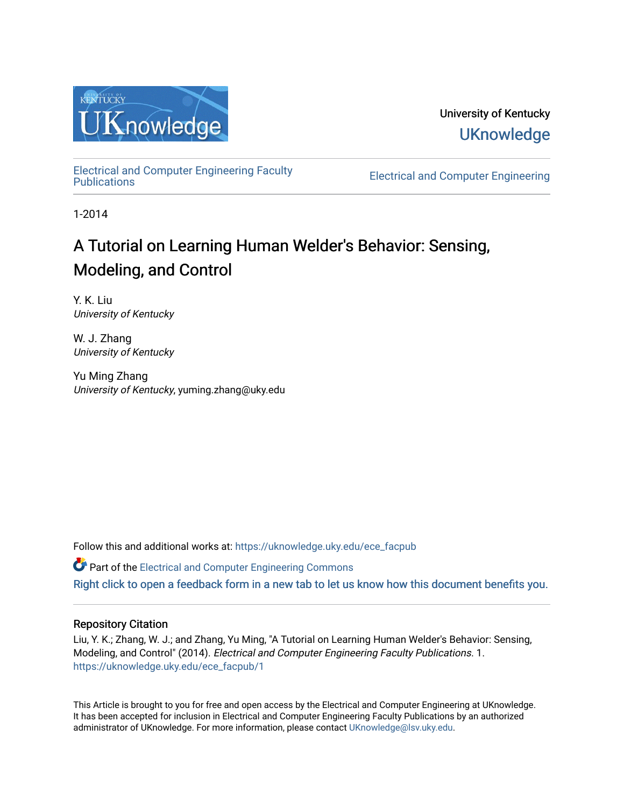

University of Kentucky **UKnowledge** 

[Electrical and Computer Engineering Faculty](https://uknowledge.uky.edu/ece_facpub)

**Electrical and Computer Engineering** 

1-2014

# A Tutorial on Learning Human Welder's Behavior: Sensing, Modeling, and Control

Y. K. Liu University of Kentucky

W. J. Zhang University of Kentucky

Yu Ming Zhang University of Kentucky, yuming.zhang@uky.edu

Follow this and additional works at: [https://uknowledge.uky.edu/ece\\_facpub](https://uknowledge.uky.edu/ece_facpub?utm_source=uknowledge.uky.edu%2Fece_facpub%2F1&utm_medium=PDF&utm_campaign=PDFCoverPages) 

 $\bullet$  Part of the Electrical and Computer Engineering Commons

[Right click to open a feedback form in a new tab to let us know how this document benefits you.](https://uky.az1.qualtrics.com/jfe/form/SV_9mq8fx2GnONRfz7)

## Repository Citation

Liu, Y. K.; Zhang, W. J.; and Zhang, Yu Ming, "A Tutorial on Learning Human Welder's Behavior: Sensing, Modeling, and Control" (2014). Electrical and Computer Engineering Faculty Publications. 1. [https://uknowledge.uky.edu/ece\\_facpub/1](https://uknowledge.uky.edu/ece_facpub/1?utm_source=uknowledge.uky.edu%2Fece_facpub%2F1&utm_medium=PDF&utm_campaign=PDFCoverPages) 

This Article is brought to you for free and open access by the Electrical and Computer Engineering at UKnowledge. It has been accepted for inclusion in Electrical and Computer Engineering Faculty Publications by an authorized administrator of UKnowledge. For more information, please contact [UKnowledge@lsv.uky.edu](mailto:UKnowledge@lsv.uky.edu).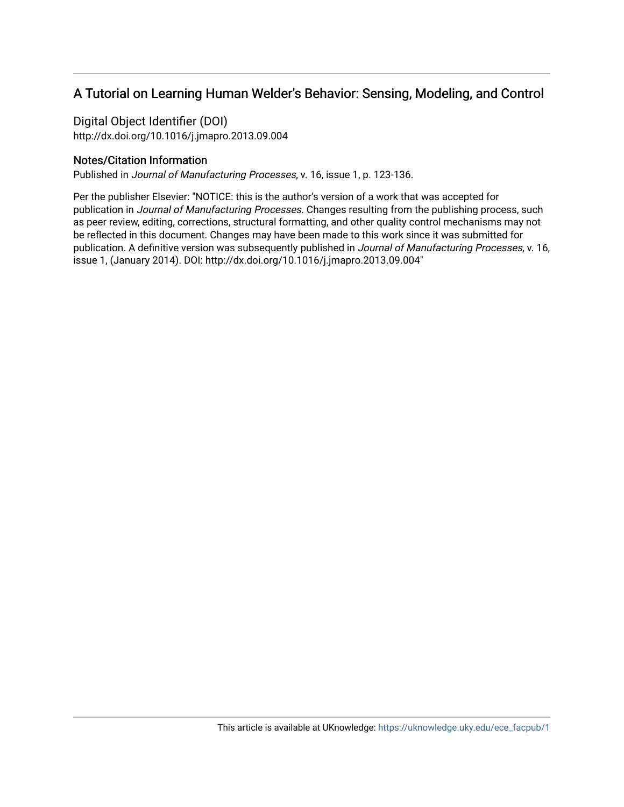# A Tutorial on Learning Human Welder's Behavior: Sensing, Modeling, and Control

Digital Object Identifier (DOI)

http://dx.doi.org/10.1016/j.jmapro.2013.09.004

# Notes/Citation Information

Published in Journal of Manufacturing Processes, v. 16, issue 1, p. 123-136.

Per the publisher Elsevier: "NOTICE: this is the author's version of a work that was accepted for publication in Journal of Manufacturing Processes. Changes resulting from the publishing process, such as peer review, editing, corrections, structural formatting, and other quality control mechanisms may not be reflected in this document. Changes may have been made to this work since it was submitted for publication. A definitive version was subsequently published in Journal of Manufacturing Processes, v. 16, issue 1, (January 2014). DOI: http://dx.doi.org/10.1016/j.jmapro.2013.09.004"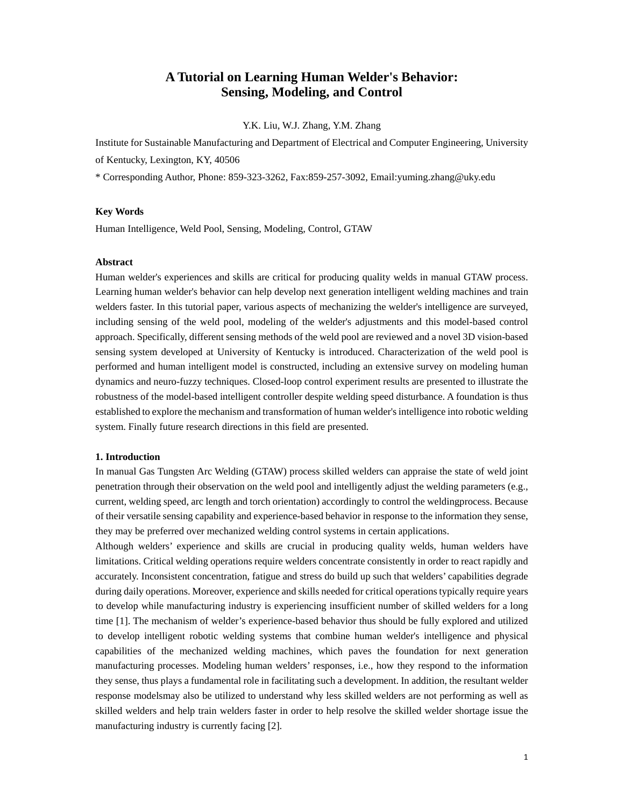# **A Tutorial on Learning Human Welder's Behavior: Sensing, Modeling, and Control**

Y.K. Liu, W.J. Zhang, Y.M. Zhang

Institute for Sustainable Manufacturing and Department of Electrical and Computer Engineering, University of Kentucky, Lexington, KY, 40506

\* Corresponding Author, Phone: 859-323-3262, Fax:859-257-3092, Email:yuming.zhang@uky.edu

#### **Key Words**

Human Intelligence, Weld Pool, Sensing, Modeling, Control, GTAW

#### **Abstract**

Human welder's experiences and skills are critical for producing quality welds in manual GTAW process. Learning human welder's behavior can help develop next generation intelligent welding machines and train welders faster. In this tutorial paper, various aspects of mechanizing the welder's intelligence are surveyed, including sensing of the weld pool, modeling of the welder's adjustments and this model-based control approach. Specifically, different sensing methods of the weld pool are reviewed and a novel 3D vision-based sensing system developed at University of Kentucky is introduced. Characterization of the weld pool is performed and human intelligent model is constructed, including an extensive survey on modeling human dynamics and neuro-fuzzy techniques. Closed-loop control experiment results are presented to illustrate the robustness of the model-based intelligent controller despite welding speed disturbance. A foundation is thus established to explore the mechanism and transformation of human welder's intelligence into robotic welding system. Finally future research directions in this field are presented.

#### **1. Introduction**

In manual Gas Tungsten Arc Welding (GTAW) process skilled welders can appraise the state of weld joint penetration through their observation on the weld pool and intelligently adjust the welding parameters (e.g., current, welding speed, arc length and torch orientation) accordingly to control the weldingprocess. Because of their versatile sensing capability and experience-based behavior in response to the information they sense, they may be preferred over mechanized welding control systems in certain applications.

Although welders' experience and skills are crucial in producing quality welds, human welders have limitations. Critical welding operations require welders concentrate consistently in order to react rapidly and accurately. Inconsistent concentration, fatigue and stress do build up such that welders' capabilities degrade during daily operations. Moreover, experience and skills needed for critical operations typically require years to develop while manufacturing industry is experiencing insufficient number of skilled welders for a long time [1]. The mechanism of welder's experience-based behavior thus should be fully explored and utilized to develop intelligent robotic welding systems that combine human welder's intelligence and physical capabilities of the mechanized welding machines, which paves the foundation for next generation manufacturing processes. Modeling human welders' responses, i.e., how they respond to the information they sense, thus plays a fundamental role in facilitating such a development. In addition, the resultant welder response modelsmay also be utilized to understand why less skilled welders are not performing as well as skilled welders and help train welders faster in order to help resolve the skilled welder shortage issue the manufacturing industry is currently facing [2].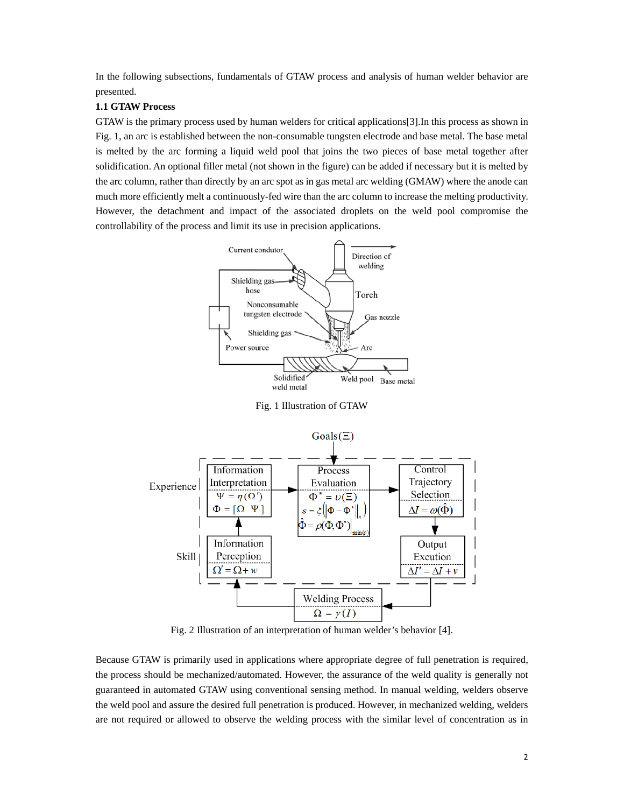In the following subsections, fundamentals of GTAW process and analysis of human welder behavior are presented.

### **1.1 GTAW Process**

GTAW is the primary process used by human welders for critical applications[3].In this process as shown in Fig. 1, an arc is established between the non-consumable tungsten electrode and base metal. The base metal is melted by the arc forming a liquid weld pool that joins the two pieces of base metal together after solidification. An optional filler metal (not shown in the figure) can be added if necessary but it is melted by the arc column, rather than directly by an arc spot as in gas metal arc welding (GMAW) where the anode can much more efficiently melt a continuously-fed wire than the arc column to increase the melting productivity. However, the detachment and impact of the associated droplets on the weld pool compromise the controllability of the process and limit its use in precision applications.



Fig. 1 Illustration of GTAW



Fig. 2 Illustration of an interpretation of human welder's behavior [4].

Because GTAW is primarily used in applications where appropriate degree of full penetration is required, the process should be mechanized/automated. However, the assurance of the weld quality is generally not guaranteed in automated GTAW using conventional sensing method. In manual welding, welders observe the weld pool and assure the desired full penetration is produced. However, in mechanized welding, welders are not required or allowed to observe the welding process with the similar level of concentration as in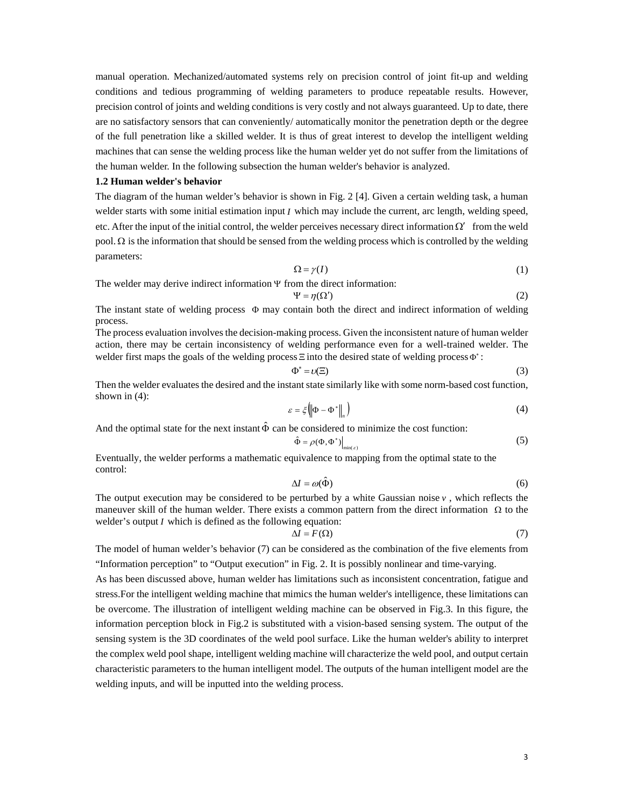manual operation. Mechanized/automated systems rely on precision control of joint fit-up and welding conditions and tedious programming of welding parameters to produce repeatable results. However, precision control of joints and welding conditions is very costly and not always guaranteed. Up to date, there are no satisfactory sensors that can conveniently/ automatically monitor the penetration depth or the degree of the full penetration like a skilled welder. It is thus of great interest to develop the intelligent welding machines that can sense the welding process like the human welder yet do not suffer from the limitations of the human welder. In the following subsection the human welder's behavior is analyzed.

#### **1.2 Human welder's behavior**

The diagram of the human welder's behavior is shown in Fig. 2 [4]. Given a certain welding task, a human welder starts with some initial estimation input *I* which may include the current, arc length, welding speed, etc. After the input of the initial control, the welder perceives necessary direct information  $\Omega'$  from the weld pool.  $\Omega$  is the information that should be sensed from the welding process which is controlled by the welding parameters:

$$
\Omega = \gamma(I) \tag{1}
$$

The welder may derive indirect information  $\Psi$  from the direct information:

$$
\Psi = \eta(\Omega') \tag{2}
$$

The instant state of welding process  $\Phi$  may contain both the direct and indirect information of welding process.

The process evaluation involves the decision-making process. Given the inconsistent nature of human welder action, there may be certain inconsistency of welding performance even for a well-trained welder. The welder first maps the goals of the welding process  $\Xi$  into the desired state of welding process  $\Phi$ :

$$
\Phi^* = \nu(\Xi) \tag{3}
$$

Then the welder evaluates the desired and the instant state similarly like with some norm-based cost function, shown in (4):

$$
\varepsilon = \xi \left( \left\| \Phi - \Phi^* \right\|_n \right) \tag{4}
$$

And the optimal state for the next instant  $\hat{\Phi}$  can be considered to minimize the cost function:

$$
\hat{\Phi} = \rho(\Phi, \Phi^*) \Big|_{\min(\varepsilon)} \tag{5}
$$

Eventually, the welder performs a mathematic equivalence to mapping from the optimal state to the control:

$$
\Delta I = \omega(\hat{\Phi})\tag{6}
$$

The output execution may be considered to be perturbed by a white Gaussian noise  $v$ , which reflects the maneuver skill of the human welder. There exists a common pattern from the direct information  $\Omega$  to the welder's output *I* which is defined as the following equation:

$$
\Delta I = F(\Omega) \tag{7}
$$

The model of human welder's behavior (7) can be considered as the combination of the five elements from "Information perception" to "Output execution" in Fig. 2. It is possibly nonlinear and time-varying.

As has been discussed above, human welder has limitations such as inconsistent concentration, fatigue and stress.For the intelligent welding machine that mimics the human welder's intelligence, these limitations can be overcome. The illustration of intelligent welding machine can be observed in Fig.3. In this figure, the information perception block in Fig.2 is substituted with a vision-based sensing system. The output of the sensing system is the 3D coordinates of the weld pool surface. Like the human welder's ability to interpret the complex weld pool shape, intelligent welding machine will characterize the weld pool, and output certain characteristic parameters to the human intelligent model. The outputs of the human intelligent model are the welding inputs, and will be inputted into the welding process.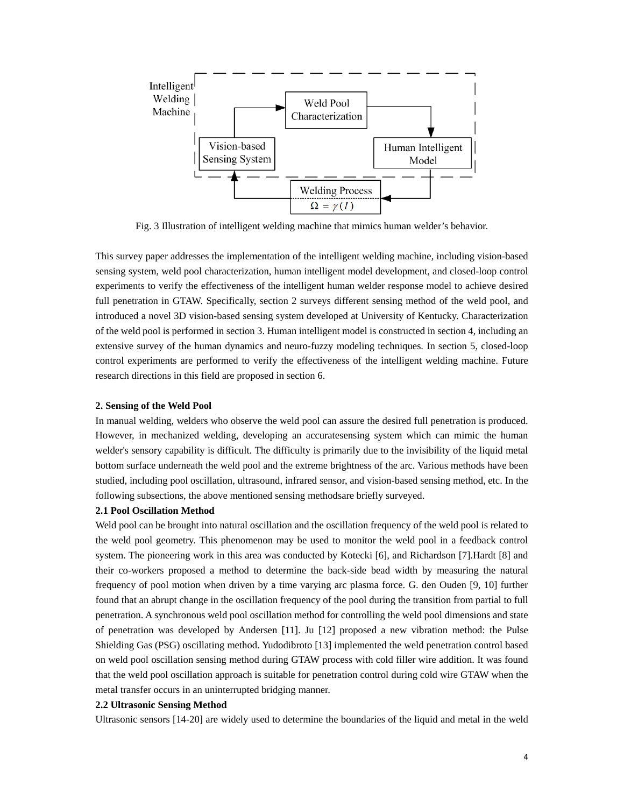

Fig. 3 Illustration of intelligent welding machine that mimics human welder's behavior.

This survey paper addresses the implementation of the intelligent welding machine, including vision-based sensing system, weld pool characterization, human intelligent model development, and closed-loop control experiments to verify the effectiveness of the intelligent human welder response model to achieve desired full penetration in GTAW. Specifically, section 2 surveys different sensing method of the weld pool, and introduced a novel 3D vision-based sensing system developed at University of Kentucky. Characterization of the weld pool is performed in section 3. Human intelligent model is constructed in section 4, including an extensive survey of the human dynamics and neuro-fuzzy modeling techniques. In section 5, closed-loop control experiments are performed to verify the effectiveness of the intelligent welding machine. Future research directions in this field are proposed in section 6.

#### **2. Sensing of the Weld Pool**

In manual welding, welders who observe the weld pool can assure the desired full penetration is produced. However, in mechanized welding, developing an accuratesensing system which can mimic the human welder's sensory capability is difficult. The difficulty is primarily due to the invisibility of the liquid metal bottom surface underneath the weld pool and the extreme brightness of the arc. Various methods have been studied, including pool oscillation, ultrasound, infrared sensor, and vision-based sensing method, etc. In the following subsections, the above mentioned sensing methodsare briefly surveyed.

#### **2.1 Pool Oscillation Method**

Weld pool can be brought into natural oscillation and the oscillation frequency of the weld pool is related to the weld pool geometry. This phenomenon may be used to monitor the weld pool in a feedback control system. The pioneering work in this area was conducted by Kotecki [6], and Richardson [7].Hardt [8] and their co-workers proposed a method to determine the back-side bead width by measuring the natural frequency of pool motion when driven by a time varying arc plasma force. G. den Ouden [9, 10] further found that an abrupt change in the oscillation frequency of the pool during the transition from partial to full penetration. A synchronous weld pool oscillation method for controlling the weld pool dimensions and state of penetration was developed by Andersen [11]. Ju [12] proposed a new vibration method: the Pulse Shielding Gas (PSG) oscillating method. Yudodibroto [13] implemented the weld penetration control based on weld pool oscillation sensing method during GTAW process with cold filler wire addition. It was found that the weld pool oscillation approach is suitable for penetration control during cold wire GTAW when the metal transfer occurs in an uninterrupted bridging manner.

#### **2.2 Ultrasonic Sensing Method**

Ultrasonic sensors [14-20] are widely used to determine the boundaries of the liquid and metal in the weld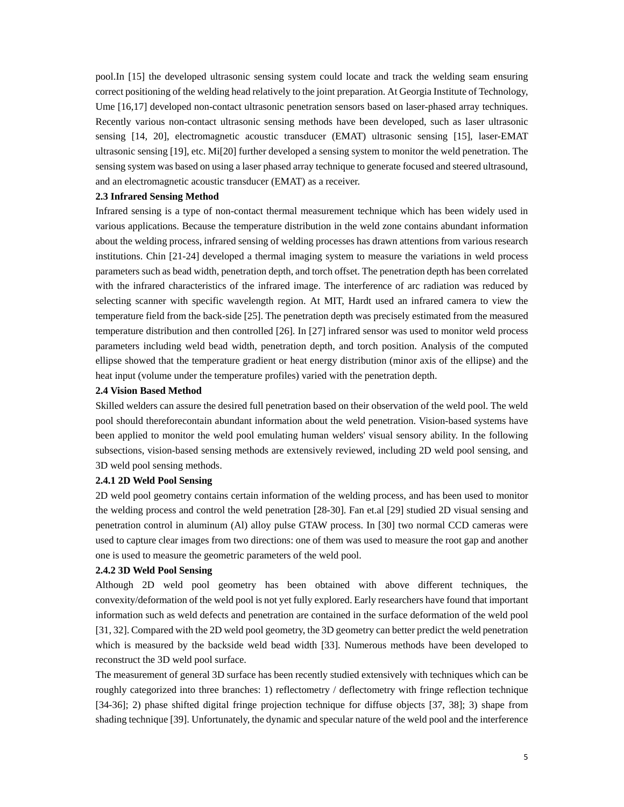pool.In [15] the developed ultrasonic sensing system could locate and track the welding seam ensuring correct positioning of the welding head relatively to the joint preparation. At Georgia Institute of Technology, Ume [16,17] developed non-contact ultrasonic penetration sensors based on laser-phased array techniques. Recently various non-contact ultrasonic sensing methods have been developed, such as laser ultrasonic sensing [14, 20], electromagnetic acoustic transducer (EMAT) ultrasonic sensing [15], laser-EMAT ultrasonic sensing [19], etc. Mi[20] further developed a sensing system to monitor the weld penetration. The sensing system was based on using a laser phased array technique to generate focused and steered ultrasound, and an electromagnetic acoustic transducer (EMAT) as a receiver.

#### **2.3 Infrared Sensing Method**

Infrared sensing is a type of non-contact thermal measurement technique which has been widely used in various applications. Because the temperature distribution in the weld zone contains abundant information about the welding process, infrared sensing of welding processes has drawn attentions from various research institutions. Chin [21-24] developed a thermal imaging system to measure the variations in weld process parameters such as bead width, penetration depth, and torch offset. The penetration depth has been correlated with the infrared characteristics of the infrared image. The interference of arc radiation was reduced by selecting scanner with specific wavelength region. At MIT, Hardt used an infrared camera to view the temperature field from the back-side [25]. The penetration depth was precisely estimated from the measured temperature distribution and then controlled [26]. In [27] infrared sensor was used to monitor weld process parameters including weld bead width, penetration depth, and torch position. Analysis of the computed ellipse showed that the temperature gradient or heat energy distribution (minor axis of the ellipse) and the heat input (volume under the temperature profiles) varied with the penetration depth.

#### **2.4 Vision Based Method**

Skilled welders can assure the desired full penetration based on their observation of the weld pool. The weld pool should thereforecontain abundant information about the weld penetration. Vision-based systems have been applied to monitor the weld pool emulating human welders' visual sensory ability. In the following subsections, vision-based sensing methods are extensively reviewed, including 2D weld pool sensing, and 3D weld pool sensing methods.

#### **2.4.1 2D Weld Pool Sensing**

2D weld pool geometry contains certain information of the welding process, and has been used to monitor the welding process and control the weld penetration [28-30]. Fan et.al [29] studied 2D visual sensing and penetration control in aluminum (Al) alloy pulse GTAW process. In [30] two normal CCD cameras were used to capture clear images from two directions: one of them was used to measure the root gap and another one is used to measure the geometric parameters of the weld pool.

#### **2.4.2 3D Weld Pool Sensing**

Although 2D weld pool geometry has been obtained with above different techniques, the convexity/deformation of the weld pool is not yet fully explored. Early researchers have found that important information such as weld defects and penetration are contained in the surface deformation of the weld pool [31, 32]. Compared with the 2D weld pool geometry, the 3D geometry can better predict the weld penetration which is measured by the backside weld bead width [33]. Numerous methods have been developed to reconstruct the 3D weld pool surface.

The measurement of general 3D surface has been recently studied extensively with techniques which can be roughly categorized into three branches: 1) reflectometry / deflectometry with fringe reflection technique [34-36]; 2) phase shifted digital fringe projection technique for diffuse objects [37, 38]; 3) shape from shading technique [39]. Unfortunately, the dynamic and specular nature of the weld pool and the interference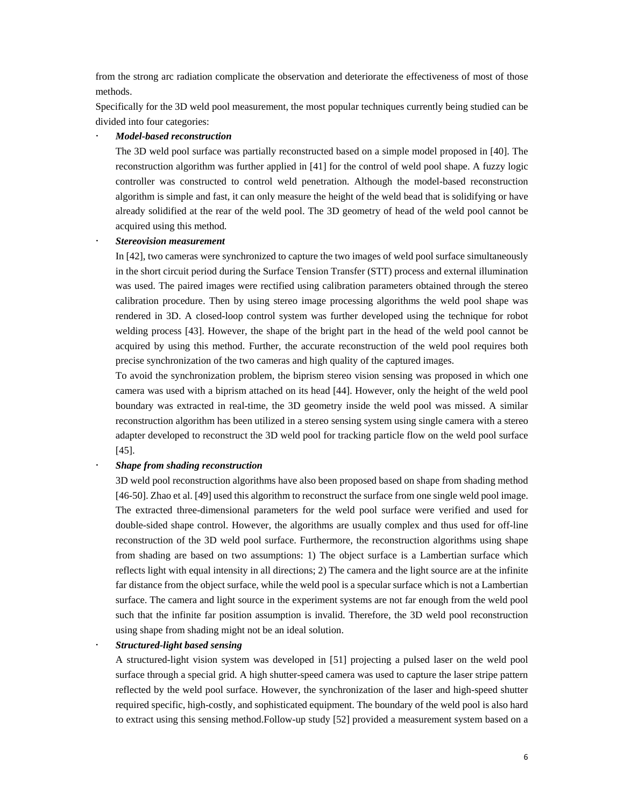from the strong arc radiation complicate the observation and deteriorate the effectiveness of most of those methods.

Specifically for the 3D weld pool measurement, the most popular techniques currently being studied can be divided into four categories:

#### *Model-based reconstruction*

The 3D weld pool surface was partially reconstructed based on a simple model proposed in [40]. The reconstruction algorithm was further applied in [41] for the control of weld pool shape. A fuzzy logic controller was constructed to control weld penetration. Although the model-based reconstruction algorithm is simple and fast, it can only measure the height of the weld bead that is solidifying or have already solidified at the rear of the weld pool. The 3D geometry of head of the weld pool cannot be acquired using this method.

#### *Stereovision measurement*

In [42], two cameras were synchronized to capture the two images of weld pool surface simultaneously in the short circuit period during the Surface Tension Transfer (STT) process and external illumination was used. The paired images were rectified using calibration parameters obtained through the stereo calibration procedure. Then by using stereo image processing algorithms the weld pool shape was rendered in 3D. A closed-loop control system was further developed using the technique for robot welding process [43]. However, the shape of the bright part in the head of the weld pool cannot be acquired by using this method. Further, the accurate reconstruction of the weld pool requires both precise synchronization of the two cameras and high quality of the captured images.

To avoid the synchronization problem, the biprism stereo vision sensing was proposed in which one camera was used with a biprism attached on its head [44]. However, only the height of the weld pool boundary was extracted in real-time, the 3D geometry inside the weld pool was missed. A similar reconstruction algorithm has been utilized in a stereo sensing system using single camera with a stereo adapter developed to reconstruct the 3D weld pool for tracking particle flow on the weld pool surface [45].

#### *Shape from shading reconstruction*

3D weld pool reconstruction algorithms have also been proposed based on shape from shading method [46-50]. Zhao et al. [49] used this algorithm to reconstruct the surface from one single weld pool image. The extracted three-dimensional parameters for the weld pool surface were verified and used for double-sided shape control. However, the algorithms are usually complex and thus used for off-line reconstruction of the 3D weld pool surface. Furthermore, the reconstruction algorithms using shape from shading are based on two assumptions: 1) The object surface is a Lambertian surface which reflects light with equal intensity in all directions; 2) The camera and the light source are at the infinite far distance from the object surface, while the weld pool is a specular surface which is not a Lambertian surface. The camera and light source in the experiment systems are not far enough from the weld pool such that the infinite far position assumption is invalid. Therefore, the 3D weld pool reconstruction using shape from shading might not be an ideal solution.

*Structured-light based sensing* 

A structured-light vision system was developed in [51] projecting a pulsed laser on the weld pool surface through a special grid. A high shutter-speed camera was used to capture the laser stripe pattern reflected by the weld pool surface. However, the synchronization of the laser and high-speed shutter required specific, high-costly, and sophisticated equipment. The boundary of the weld pool is also hard to extract using this sensing method.Follow-up study [52] provided a measurement system based on a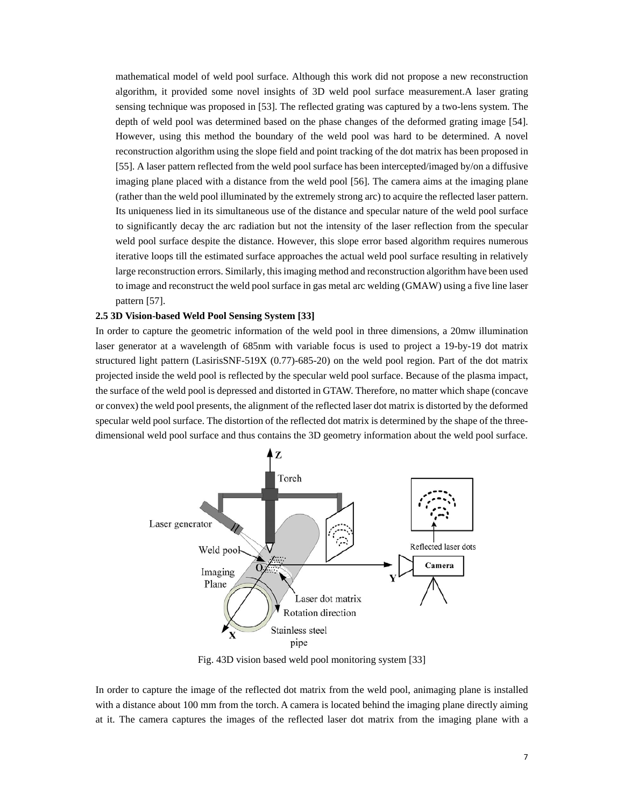mathematical model of weld pool surface. Although this work did not propose a new reconstruction algorithm, it provided some novel insights of 3D weld pool surface measurement.A laser grating sensing technique was proposed in [53]. The reflected grating was captured by a two-lens system. The depth of weld pool was determined based on the phase changes of the deformed grating image [54]. However, using this method the boundary of the weld pool was hard to be determined. A novel reconstruction algorithm using the slope field and point tracking of the dot matrix has been proposed in [55]. A laser pattern reflected from the weld pool surface has been intercepted/imaged by/on a diffusive imaging plane placed with a distance from the weld pool [56]. The camera aims at the imaging plane (rather than the weld pool illuminated by the extremely strong arc) to acquire the reflected laser pattern. Its uniqueness lied in its simultaneous use of the distance and specular nature of the weld pool surface to significantly decay the arc radiation but not the intensity of the laser reflection from the specular weld pool surface despite the distance. However, this slope error based algorithm requires numerous iterative loops till the estimated surface approaches the actual weld pool surface resulting in relatively large reconstruction errors. Similarly, this imaging method and reconstruction algorithm have been used to image and reconstruct the weld pool surface in gas metal arc welding (GMAW) using a five line laser pattern [57].

#### **2.5 3D Vision-based Weld Pool Sensing System [33]**

In order to capture the geometric information of the weld pool in three dimensions, a 20mw illumination laser generator at a wavelength of 685nm with variable focus is used to project a 19-by-19 dot matrix structured light pattern (LasirisSNF-519X (0.77)-685-20) on the weld pool region. Part of the dot matrix projected inside the weld pool is reflected by the specular weld pool surface. Because of the plasma impact, the surface of the weld pool is depressed and distorted in GTAW. Therefore, no matter which shape (concave or convex) the weld pool presents, the alignment of the reflected laser dot matrix is distorted by the deformed specular weld pool surface. The distortion of the reflected dot matrix is determined by the shape of the threedimensional weld pool surface and thus contains the 3D geometry information about the weld pool surface.



Fig. 43D vision based weld pool monitoring system [33]

In order to capture the image of the reflected dot matrix from the weld pool, animaging plane is installed with a distance about 100 mm from the torch. A camera is located behind the imaging plane directly aiming at it. The camera captures the images of the reflected laser dot matrix from the imaging plane with a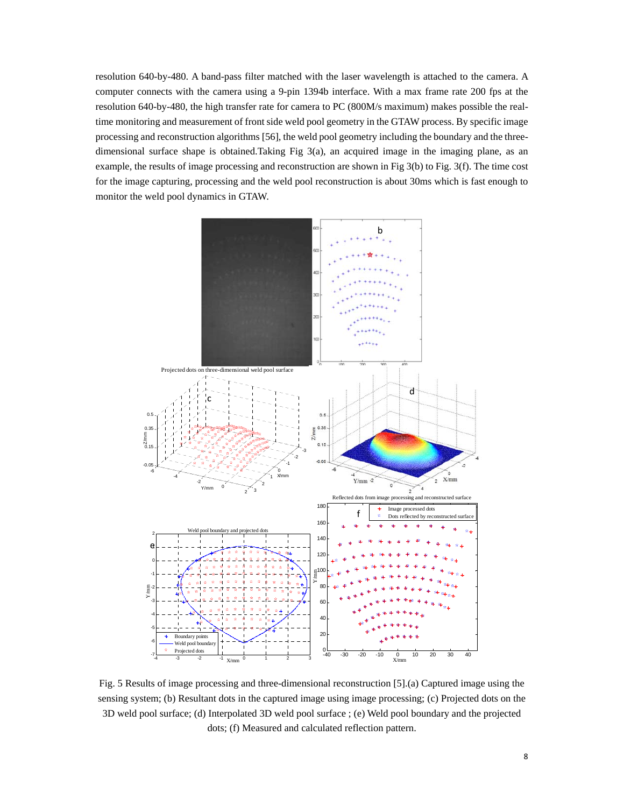resolution 640-by-480. A band-pass filter matched with the laser wavelength is attached to the camera. A computer connects with the camera using a 9-pin 1394b interface. With a max frame rate 200 fps at the resolution 640-by-480, the high transfer rate for camera to PC (800M/s maximum) makes possible the realtime monitoring and measurement of front side weld pool geometry in the GTAW process. By specific image processing and reconstruction algorithms [56], the weld pool geometry including the boundary and the threedimensional surface shape is obtained.Taking Fig 3(a), an acquired image in the imaging plane, as an example, the results of image processing and reconstruction are shown in Fig 3(b) to Fig. 3(f). The time cost for the image capturing, processing and the weld pool reconstruction is about 30ms which is fast enough to monitor the weld pool dynamics in GTAW.



Fig. 5 Results of image processing and three-dimensional reconstruction [5].(a) Captured image using the sensing system; (b) Resultant dots in the captured image using image processing; (c) Projected dots on the 3D weld pool surface; (d) Interpolated 3D weld pool surface ; (e) Weld pool boundary and the projected dots; (f) Measured and calculated reflection pattern.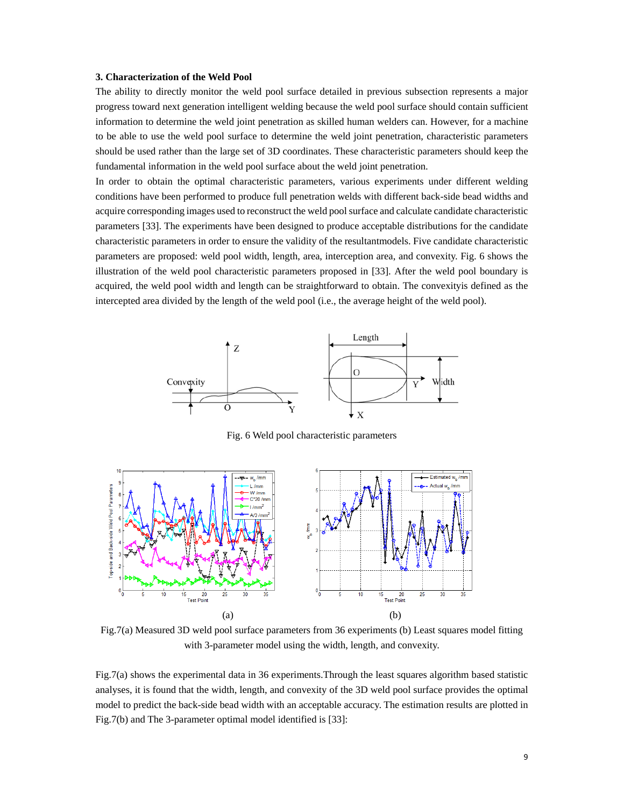#### **3. Characterization of the Weld Pool**

The ability to directly monitor the weld pool surface detailed in previous subsection represents a major progress toward next generation intelligent welding because the weld pool surface should contain sufficient information to determine the weld joint penetration as skilled human welders can. However, for a machine to be able to use the weld pool surface to determine the weld joint penetration, characteristic parameters should be used rather than the large set of 3D coordinates. These characteristic parameters should keep the fundamental information in the weld pool surface about the weld joint penetration.

In order to obtain the optimal characteristic parameters, various experiments under different welding conditions have been performed to produce full penetration welds with different back-side bead widths and acquire corresponding images used to reconstruct the weld pool surface and calculate candidate characteristic parameters [33]. The experiments have been designed to produce acceptable distributions for the candidate characteristic parameters in order to ensure the validity of the resultantmodels. Five candidate characteristic parameters are proposed: weld pool width, length, area, interception area, and convexity. Fig. 6 shows the illustration of the weld pool characteristic parameters proposed in [33]. After the weld pool boundary is acquired, the weld pool width and length can be straightforward to obtain. The convexityis defined as the intercepted area divided by the length of the weld pool (i.e., the average height of the weld pool).



Fig. 6 Weld pool characteristic parameters



Fig.7(a) Measured 3D weld pool surface parameters from 36 experiments (b) Least squares model fitting with 3-parameter model using the width, length, and convexity.

Fig.7(a) shows the experimental data in 36 experiments.Through the least squares algorithm based statistic analyses, it is found that the width, length, and convexity of the 3D weld pool surface provides the optimal model to predict the back-side bead width with an acceptable accuracy. The estimation results are plotted in Fig.7(b) and The 3-parameter optimal model identified is [33]: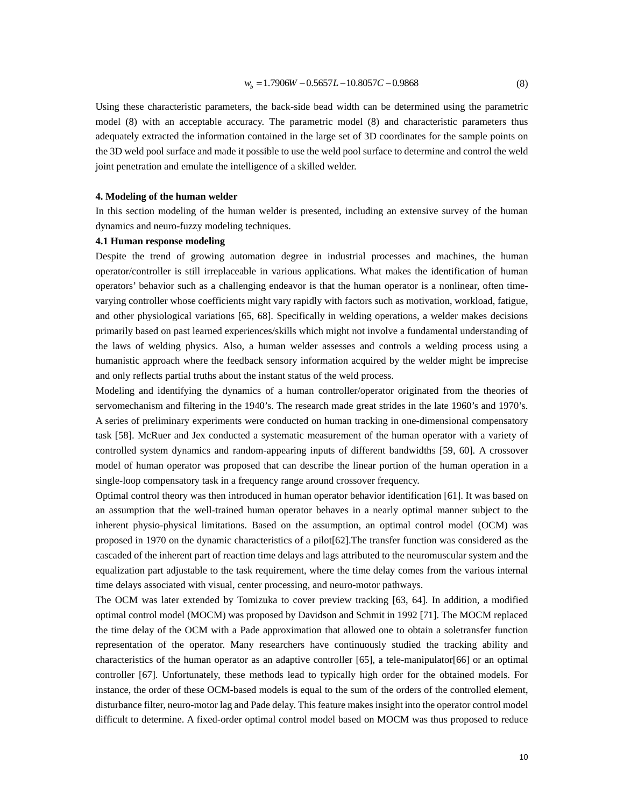Using these characteristic parameters, the back-side bead width can be determined using the parametric model (8) with an acceptable accuracy. The parametric model (8) and characteristic parameters thus adequately extracted the information contained in the large set of 3D coordinates for the sample points on the 3D weld pool surface and made it possible to use the weld pool surface to determine and control the weld joint penetration and emulate the intelligence of a skilled welder.

#### **4. Modeling of the human welder**

In this section modeling of the human welder is presented, including an extensive survey of the human dynamics and neuro-fuzzy modeling techniques.

#### **4.1 Human response modeling**

Despite the trend of growing automation degree in industrial processes and machines, the human operator/controller is still irreplaceable in various applications. What makes the identification of human operators' behavior such as a challenging endeavor is that the human operator is a nonlinear, often timevarying controller whose coefficients might vary rapidly with factors such as motivation, workload, fatigue, and other physiological variations [65, 68]. Specifically in welding operations, a welder makes decisions primarily based on past learned experiences/skills which might not involve a fundamental understanding of the laws of welding physics. Also, a human welder assesses and controls a welding process using a humanistic approach where the feedback sensory information acquired by the welder might be imprecise and only reflects partial truths about the instant status of the weld process.

Modeling and identifying the dynamics of a human controller/operator originated from the theories of servomechanism and filtering in the 1940's. The research made great strides in the late 1960's and 1970's. A series of preliminary experiments were conducted on human tracking in one-dimensional compensatory task [58]. McRuer and Jex conducted a systematic measurement of the human operator with a variety of controlled system dynamics and random-appearing inputs of different bandwidths [59, 60]. A crossover model of human operator was proposed that can describe the linear portion of the human operation in a single-loop compensatory task in a frequency range around crossover frequency.

Optimal control theory was then introduced in human operator behavior identification [61]. It was based on an assumption that the well-trained human operator behaves in a nearly optimal manner subject to the inherent physio-physical limitations. Based on the assumption, an optimal control model (OCM) was proposed in 1970 on the dynamic characteristics of a pilot[62].The transfer function was considered as the cascaded of the inherent part of reaction time delays and lags attributed to the neuromuscular system and the equalization part adjustable to the task requirement, where the time delay comes from the various internal time delays associated with visual, center processing, and neuro-motor pathways.

The OCM was later extended by Tomizuka to cover preview tracking [63, 64]. In addition, a modified optimal control model (MOCM) was proposed by Davidson and Schmit in 1992 [71]. The MOCM replaced the time delay of the OCM with a Pade approximation that allowed one to obtain a soletransfer function representation of the operator. Many researchers have continuously studied the tracking ability and characteristics of the human operator as an adaptive controller [65], a tele-manipulator[66] or an optimal controller [67]. Unfortunately, these methods lead to typically high order for the obtained models. For instance, the order of these OCM-based models is equal to the sum of the orders of the controlled element, disturbance filter, neuro-motor lag and Pade delay. This feature makes insight into the operator control model difficult to determine. A fixed-order optimal control model based on MOCM was thus proposed to reduce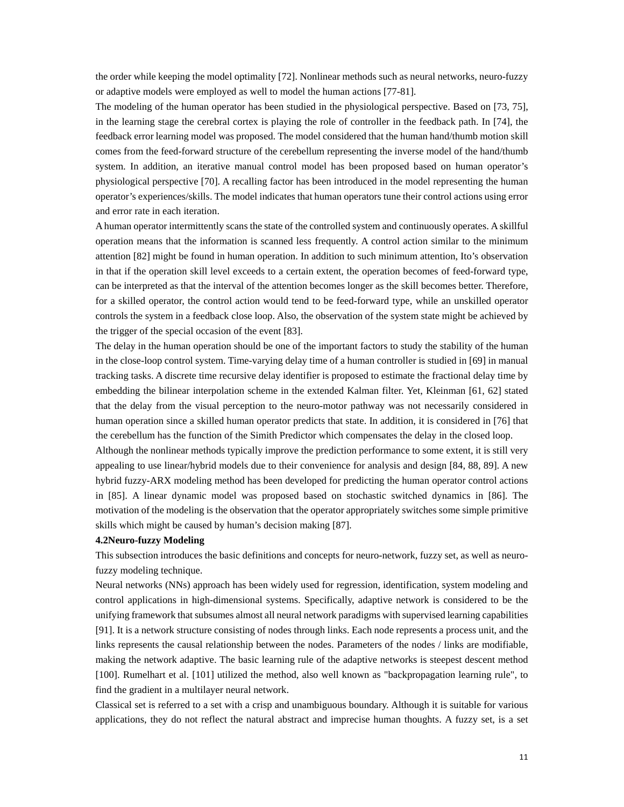the order while keeping the model optimality [72]. Nonlinear methods such as neural networks, neuro-fuzzy or adaptive models were employed as well to model the human actions [77-81].

The modeling of the human operator has been studied in the physiological perspective. Based on [73, 75], in the learning stage the cerebral cortex is playing the role of controller in the feedback path. In [74], the feedback error learning model was proposed. The model considered that the human hand/thumb motion skill comes from the feed-forward structure of the cerebellum representing the inverse model of the hand/thumb system. In addition, an iterative manual control model has been proposed based on human operator's physiological perspective [70]. A recalling factor has been introduced in the model representing the human operator's experiences/skills. The model indicates that human operators tune their control actions using error and error rate in each iteration.

A human operator intermittently scans the state of the controlled system and continuously operates. A skillful operation means that the information is scanned less frequently. A control action similar to the minimum attention [82] might be found in human operation. In addition to such minimum attention, Ito's observation in that if the operation skill level exceeds to a certain extent, the operation becomes of feed-forward type, can be interpreted as that the interval of the attention becomes longer as the skill becomes better. Therefore, for a skilled operator, the control action would tend to be feed-forward type, while an unskilled operator controls the system in a feedback close loop. Also, the observation of the system state might be achieved by the trigger of the special occasion of the event [83].

The delay in the human operation should be one of the important factors to study the stability of the human in the close-loop control system. Time-varying delay time of a human controller is studied in [69] in manual tracking tasks. A discrete time recursive delay identifier is proposed to estimate the fractional delay time by embedding the bilinear interpolation scheme in the extended Kalman filter. Yet, Kleinman [61, 62] stated that the delay from the visual perception to the neuro-motor pathway was not necessarily considered in human operation since a skilled human operator predicts that state. In addition, it is considered in [76] that the cerebellum has the function of the Simith Predictor which compensates the delay in the closed loop.

Although the nonlinear methods typically improve the prediction performance to some extent, it is still very appealing to use linear/hybrid models due to their convenience for analysis and design [84, 88, 89]. A new hybrid fuzzy-ARX modeling method has been developed for predicting the human operator control actions in [85]. A linear dynamic model was proposed based on stochastic switched dynamics in [86]. The motivation of the modeling is the observation that the operator appropriately switches some simple primitive skills which might be caused by human's decision making [87].

#### **4.2Neuro-fuzzy Modeling**

This subsection introduces the basic definitions and concepts for neuro-network, fuzzy set, as well as neurofuzzy modeling technique.

Neural networks (NNs) approach has been widely used for regression, identification, system modeling and control applications in high-dimensional systems. Specifically, adaptive network is considered to be the unifying framework that subsumes almost all neural network paradigms with supervised learning capabilities [91]. It is a network structure consisting of nodes through links. Each node represents a process unit, and the links represents the causal relationship between the nodes. Parameters of the nodes / links are modifiable, making the network adaptive. The basic learning rule of the adaptive networks is steepest descent method [100]. Rumelhart et al. [101] utilized the method, also well known as "backpropagation learning rule", to find the gradient in a multilayer neural network.

Classical set is referred to a set with a crisp and unambiguous boundary. Although it is suitable for various applications, they do not reflect the natural abstract and imprecise human thoughts. A fuzzy set, is a set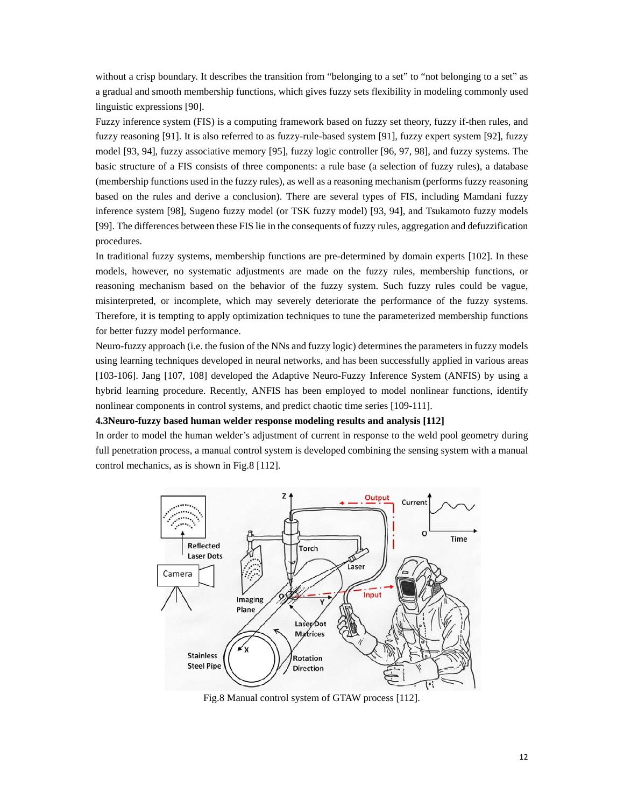without a crisp boundary. It describes the transition from "belonging to a set" to "not belonging to a set" as a gradual and smooth membership functions, which gives fuzzy sets flexibility in modeling commonly used linguistic expressions [90].

Fuzzy inference system (FIS) is a computing framework based on fuzzy set theory, fuzzy if-then rules, and fuzzy reasoning [91]. It is also referred to as fuzzy-rule-based system [91], fuzzy expert system [92], fuzzy model [93, 94], fuzzy associative memory [95], fuzzy logic controller [96, 97, 98], and fuzzy systems. The basic structure of a FIS consists of three components: a rule base (a selection of fuzzy rules), a database (membership functions used in the fuzzy rules), as well as a reasoning mechanism (performs fuzzy reasoning based on the rules and derive a conclusion). There are several types of FIS, including Mamdani fuzzy inference system [98], Sugeno fuzzy model (or TSK fuzzy model) [93, 94], and Tsukamoto fuzzy models [99]. The differences between these FIS lie in the consequents of fuzzy rules, aggregation and defuzzification procedures.

In traditional fuzzy systems, membership functions are pre-determined by domain experts [102]. In these models, however, no systematic adjustments are made on the fuzzy rules, membership functions, or reasoning mechanism based on the behavior of the fuzzy system. Such fuzzy rules could be vague, misinterpreted, or incomplete, which may severely deteriorate the performance of the fuzzy systems. Therefore, it is tempting to apply optimization techniques to tune the parameterized membership functions for better fuzzy model performance.

Neuro-fuzzy approach (i.e. the fusion of the NNs and fuzzy logic) determines the parameters in fuzzy models using learning techniques developed in neural networks, and has been successfully applied in various areas [103-106]. Jang [107, 108] developed the Adaptive Neuro-Fuzzy Inference System (ANFIS) by using a hybrid learning procedure. Recently, ANFIS has been employed to model nonlinear functions, identify nonlinear components in control systems, and predict chaotic time series [109-111].

**4.3Neuro-fuzzy based human welder response modeling results and analysis [112]** 

In order to model the human welder's adjustment of current in response to the weld pool geometry during full penetration process, a manual control system is developed combining the sensing system with a manual control mechanics, as is shown in Fig.8 [112].



Fig.8 Manual control system of GTAW process [112].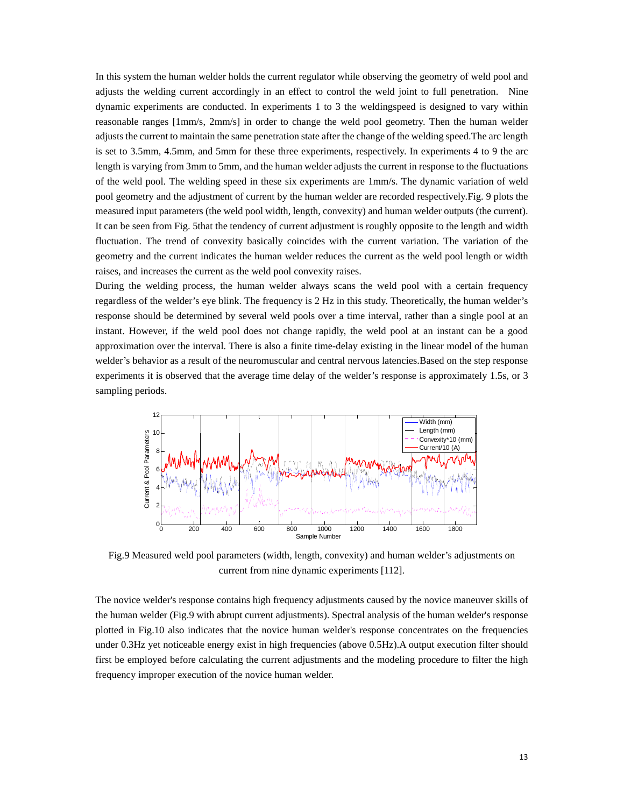In this system the human welder holds the current regulator while observing the geometry of weld pool and adjusts the welding current accordingly in an effect to control the weld joint to full penetration. Nine dynamic experiments are conducted. In experiments 1 to 3 the weldingspeed is designed to vary within reasonable ranges [1mm/s, 2mm/s] in order to change the weld pool geometry. Then the human welder adjusts the current to maintain the same penetration state after the change of the welding speed.The arc length is set to 3.5mm, 4.5mm, and 5mm for these three experiments, respectively. In experiments 4 to 9 the arc length is varying from 3mm to 5mm, and the human welder adjusts the current in response to the fluctuations of the weld pool. The welding speed in these six experiments are 1mm/s. The dynamic variation of weld pool geometry and the adjustment of current by the human welder are recorded respectively.Fig. 9 plots the measured input parameters (the weld pool width, length, convexity) and human welder outputs (the current). It can be seen from Fig. 5that the tendency of current adjustment is roughly opposite to the length and width fluctuation. The trend of convexity basically coincides with the current variation. The variation of the geometry and the current indicates the human welder reduces the current as the weld pool length or width raises, and increases the current as the weld pool convexity raises.

During the welding process, the human welder always scans the weld pool with a certain frequency regardless of the welder's eye blink. The frequency is 2 Hz in this study. Theoretically, the human welder's response should be determined by several weld pools over a time interval, rather than a single pool at an instant. However, if the weld pool does not change rapidly, the weld pool at an instant can be a good approximation over the interval. There is also a finite time-delay existing in the linear model of the human welder's behavior as a result of the neuromuscular and central nervous latencies.Based on the step response experiments it is observed that the average time delay of the welder's response is approximately 1.5s, or 3 sampling periods.



Fig.9 Measured weld pool parameters (width, length, convexity) and human welder's adjustments on current from nine dynamic experiments [112].

The novice welder's response contains high frequency adjustments caused by the novice maneuver skills of the human welder (Fig.9 with abrupt current adjustments). Spectral analysis of the human welder's response plotted in Fig.10 also indicates that the novice human welder's response concentrates on the frequencies under 0.3Hz yet noticeable energy exist in high frequencies (above 0.5Hz).A output execution filter should first be employed before calculating the current adjustments and the modeling procedure to filter the high frequency improper execution of the novice human welder.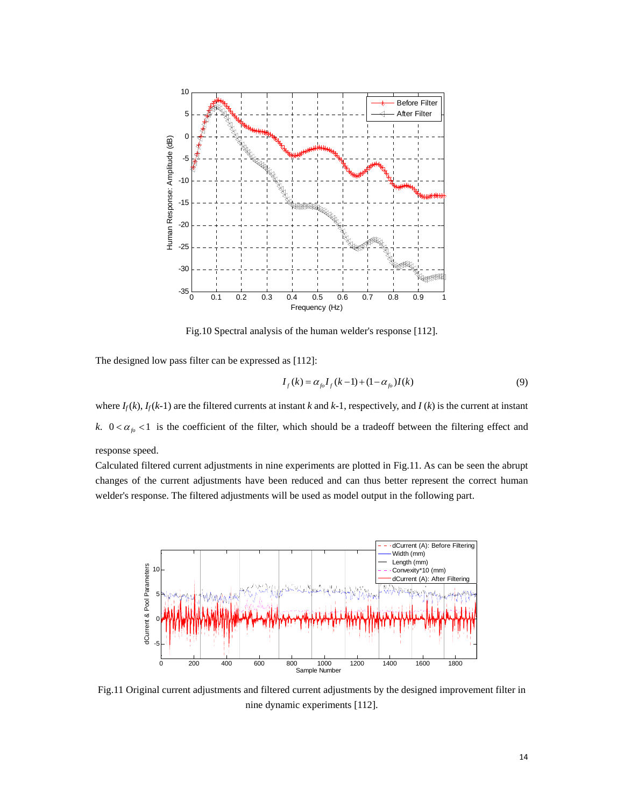

Fig.10 Spectral analysis of the human welder's response [112].

The designed low pass filter can be expressed as [112]:

$$
I_f(k) = \alpha_{f_0} I_f(k-1) + (1 - \alpha_{f_0}) I(k)
$$
\n(9)

where  $I_f(k)$ ,  $I_f(k-1)$  are the filtered currents at instant *k* and  $k-1$ , respectively, and  $I(k)$  is the current at instant *k*.  $0 < \alpha_{f_0} < 1$  is the coefficient of the filter, which should be a tradeoff between the filtering effect and response speed.

Calculated filtered current adjustments in nine experiments are plotted in Fig.11. As can be seen the abrupt changes of the current adjustments have been reduced and can thus better represent the correct human welder's response. The filtered adjustments will be used as model output in the following part.



Fig.11 Original current adjustments and filtered current adjustments by the designed improvement filter in nine dynamic experiments [112].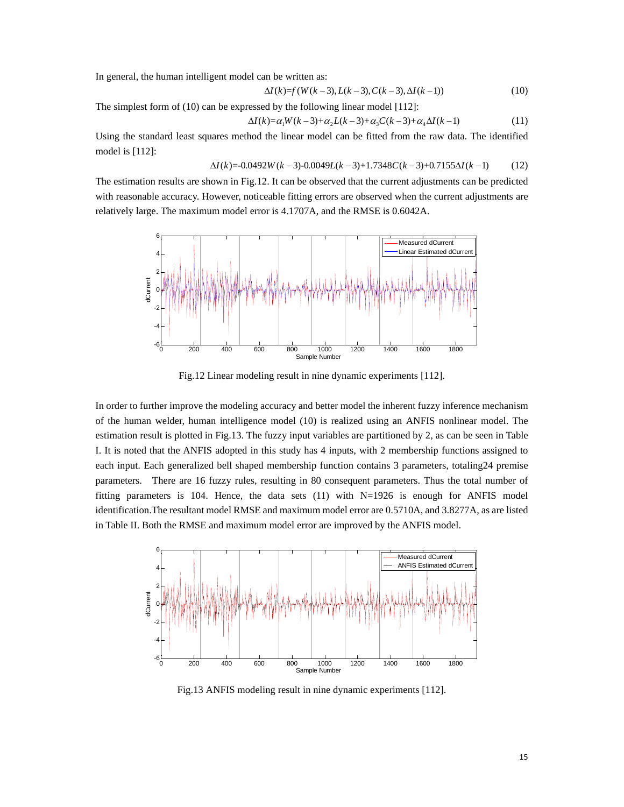In general, the human intelligent model can be written as:

$$
\Delta I(k)=f(W(k-3), L(k-3), C(k-3), \Delta I(k-1))
$$
\n(10)

The simplest form of (10) can be expressed by the following linear model [112]:

$$
\Delta I(k) = \alpha_1 W(k-3) + \alpha_2 L(k-3) + \alpha_3 C(k-3) + \alpha_4 \Delta I(k-1)
$$
\n(11)

Using the standard least squares method the linear model can be fitted from the raw data. The identified model is [112]:

$$
\Delta I(k) = -0.0492W(k-3) - 0.0049L(k-3) + 1.7348C(k-3) + 0.7155\Delta I(k-1)
$$
 (12)

The estimation results are shown in Fig.12. It can be observed that the current adjustments can be predicted with reasonable accuracy. However, noticeable fitting errors are observed when the current adjustments are relatively large. The maximum model error is 4.1707A, and the RMSE is 0.6042A.



Fig.12 Linear modeling result in nine dynamic experiments [112].

In order to further improve the modeling accuracy and better model the inherent fuzzy inference mechanism of the human welder, human intelligence model (10) is realized using an ANFIS nonlinear model. The estimation result is plotted in Fig.13. The fuzzy input variables are partitioned by 2, as can be seen in Table I. It is noted that the ANFIS adopted in this study has 4 inputs, with 2 membership functions assigned to each input. Each generalized bell shaped membership function contains 3 parameters, totaling24 premise parameters. There are 16 fuzzy rules, resulting in 80 consequent parameters. Thus the total number of fitting parameters is 104. Hence, the data sets (11) with N=1926 is enough for ANFIS model identification.The resultant model RMSE and maximum model error are 0.5710A, and 3.8277A, as are listed in Table II. Both the RMSE and maximum model error are improved by the ANFIS model.



Fig.13 ANFIS modeling result in nine dynamic experiments [112].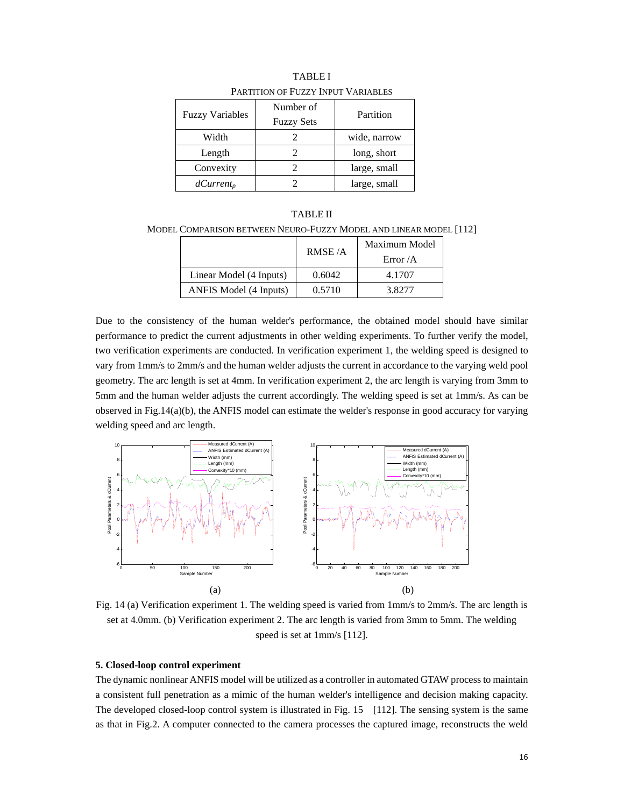| <b>Fuzzy Variables</b> | Number of<br><b>Fuzzy Sets</b> | Partition    |  |
|------------------------|--------------------------------|--------------|--|
| Width                  |                                | wide, narrow |  |
| Length                 |                                | long, short  |  |
| Convexity              |                                | large, small |  |
| $dCurrent_p$           |                                | large, small |  |

TABLE I PARTITION OF FUZZY INPUT VARIABLES

TABLE II MODEL COMPARISON BETWEEN NEURO-FUZZY MODEL AND LINEAR MODEL [112]

|                         | RMSE/A | Maximum Model |
|-------------------------|--------|---------------|
|                         |        | Error $/A$    |
| Linear Model (4 Inputs) | 0.6042 | 4.1707        |
| ANFIS Model (4 Inputs)  | 0.5710 | 3.8277        |

Due to the consistency of the human welder's performance, the obtained model should have similar performance to predict the current adjustments in other welding experiments. To further verify the model, two verification experiments are conducted. In verification experiment 1, the welding speed is designed to vary from 1mm/s to 2mm/s and the human welder adjusts the current in accordance to the varying weld pool geometry. The arc length is set at 4mm. In verification experiment 2, the arc length is varying from 3mm to 5mm and the human welder adjusts the current accordingly. The welding speed is set at 1mm/s. As can be observed in Fig.14(a)(b), the ANFIS model can estimate the welder's response in good accuracy for varying welding speed and arc length.



Fig. 14 (a) Verification experiment 1. The welding speed is varied from 1mm/s to 2mm/s. The arc length is set at 4.0mm. (b) Verification experiment 2. The arc length is varied from 3mm to 5mm. The welding speed is set at 1mm/s [112].

#### **5. Closed-loop control experiment**

The dynamic nonlinear ANFIS model will be utilized as a controller in automated GTAW process to maintain a consistent full penetration as a mimic of the human welder's intelligence and decision making capacity. The developed closed-loop control system is illustrated in Fig. 15 [112]. The sensing system is the same as that in Fig.2. A computer connected to the camera processes the captured image, reconstructs the weld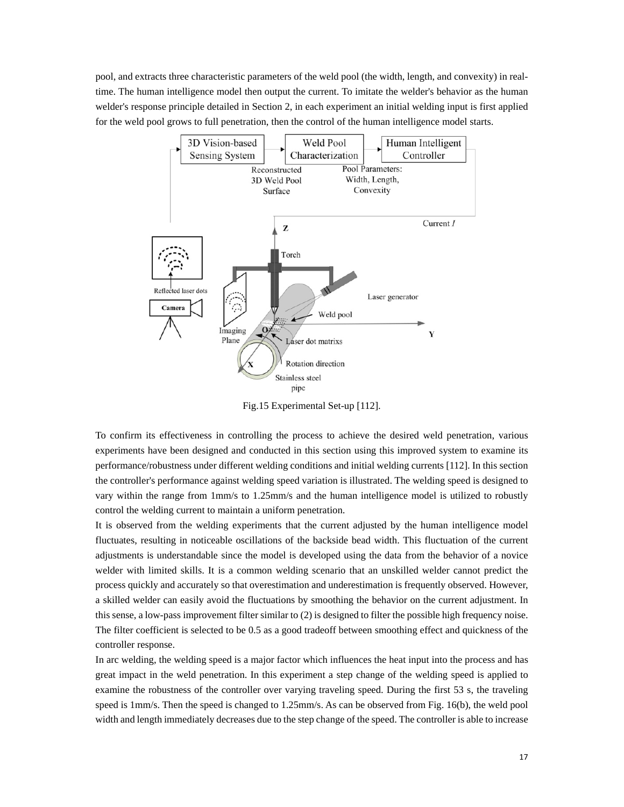pool, and extracts three characteristic parameters of the weld pool (the width, length, and convexity) in realtime. The human intelligence model then output the current. To imitate the welder's behavior as the human welder's response principle detailed in Section 2, in each experiment an initial welding input is first applied for the weld pool grows to full penetration, then the control of the human intelligence model starts.



Fig.15 Experimental Set-up [112].

To confirm its effectiveness in controlling the process to achieve the desired weld penetration, various experiments have been designed and conducted in this section using this improved system to examine its performance/robustness under different welding conditions and initial welding currents [112]. In this section the controller's performance against welding speed variation is illustrated. The welding speed is designed to vary within the range from 1mm/s to 1.25mm/s and the human intelligence model is utilized to robustly control the welding current to maintain a uniform penetration.

It is observed from the welding experiments that the current adjusted by the human intelligence model fluctuates, resulting in noticeable oscillations of the backside bead width. This fluctuation of the current adjustments is understandable since the model is developed using the data from the behavior of a novice welder with limited skills. It is a common welding scenario that an unskilled welder cannot predict the process quickly and accurately so that overestimation and underestimation is frequently observed. However, a skilled welder can easily avoid the fluctuations by smoothing the behavior on the current adjustment. In this sense, a low-pass improvement filter similar to (2) is designed to filter the possible high frequency noise. The filter coefficient is selected to be 0.5 as a good tradeoff between smoothing effect and quickness of the controller response.

In arc welding, the welding speed is a major factor which influences the heat input into the process and has great impact in the weld penetration. In this experiment a step change of the welding speed is applied to examine the robustness of the controller over varying traveling speed. During the first 53 s, the traveling speed is 1mm/s. Then the speed is changed to 1.25mm/s. As can be observed from Fig. 16(b), the weld pool width and length immediately decreases due to the step change of the speed. The controller is able to increase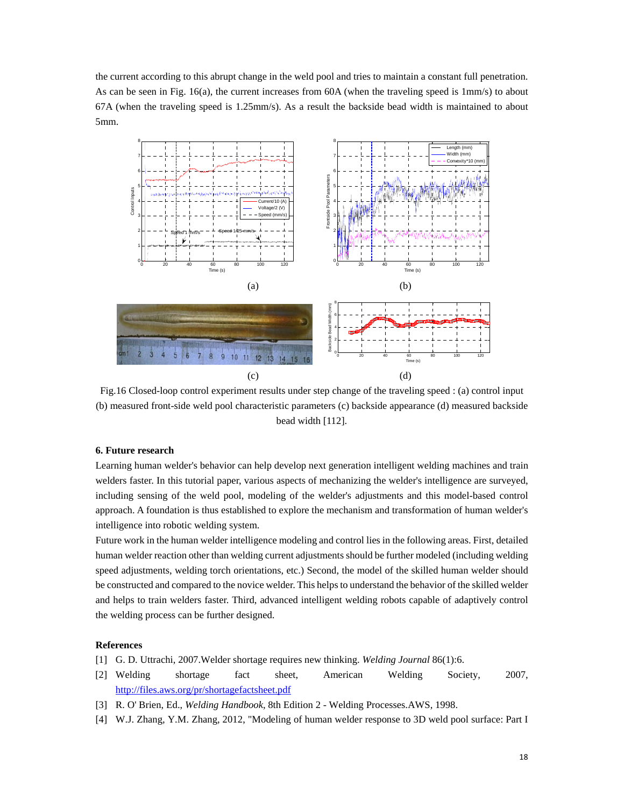the current according to this abrupt change in the weld pool and tries to maintain a constant full penetration. As can be seen in Fig. 16(a), the current increases from 60A (when the traveling speed is 1mm/s) to about 67A (when the traveling speed is 1.25mm/s). As a result the backside bead width is maintained to about 5mm.



Fig.16 Closed-loop control experiment results under step change of the traveling speed : (a) control input (b) measured front-side weld pool characteristic parameters (c) backside appearance (d) measured backside bead width [112].

#### **6. Future research**

Learning human welder's behavior can help develop next generation intelligent welding machines and train welders faster. In this tutorial paper, various aspects of mechanizing the welder's intelligence are surveyed, including sensing of the weld pool, modeling of the welder's adjustments and this model-based control approach. A foundation is thus established to explore the mechanism and transformation of human welder's intelligence into robotic welding system.

Future work in the human welder intelligence modeling and control lies in the following areas. First, detailed human welder reaction other than welding current adjustments should be further modeled (including welding speed adjustments, welding torch orientations, etc.) Second, the model of the skilled human welder should be constructed and compared to the novice welder. This helps to understand the behavior of the skilled welder and helps to train welders faster. Third, advanced intelligent welding robots capable of adaptively control the welding process can be further designed.

#### **References**

- [1] G. D. Uttrachi, 2007.Welder shortage requires new thinking. *Welding Journal* 86(1):6.
- [2] Welding shortage fact sheet, American Welding Society, 2007, http://files.aws.org/pr/shortagefactsheet.pdf
- [3] R. O' Brien, Ed., *Welding Handbook*, 8th Edition 2 Welding Processes.AWS, 1998.
- [4] W.J. Zhang, Y.M. Zhang, 2012, "Modeling of human welder response to 3D weld pool surface: Part I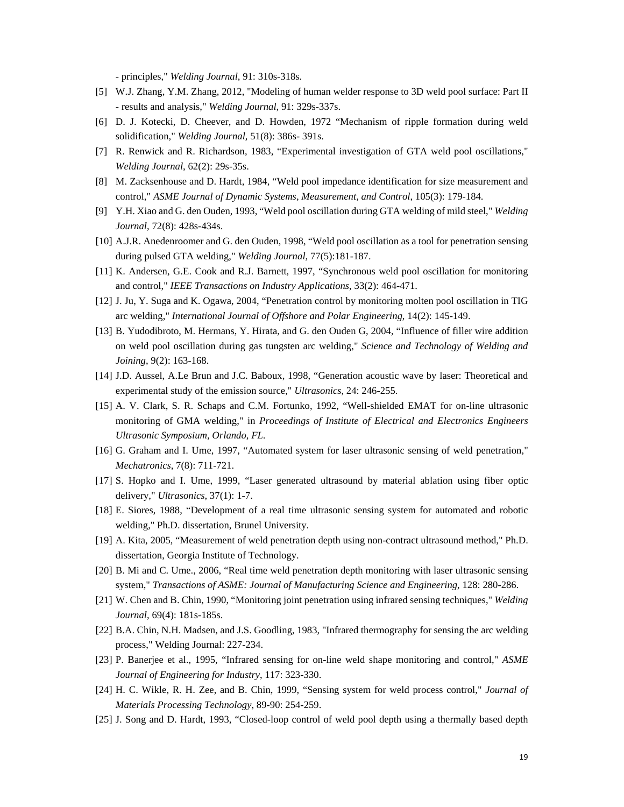- principles," *Welding Journal*, 91: 310s-318s.

- [5] W.J. Zhang, Y.M. Zhang, 2012, "Modeling of human welder response to 3D weld pool surface: Part II - results and analysis," *Welding Journal*, 91: 329s-337s.
- [6] D. J. Kotecki, D. Cheever, and D. Howden, 1972 "Mechanism of ripple formation during weld solidification," *Welding Journal*, 51(8): 386s- 391s.
- [7] R. Renwick and R. Richardson, 1983, "Experimental investigation of GTA weld pool oscillations," *Welding Journal*, 62(2): 29s-35s.
- [8] M. Zacksenhouse and D. Hardt, 1984, "Weld pool impedance identification for size measurement and control," *ASME Journal of Dynamic Systems, Measurement, and Control*, 105(3): 179-184.
- [9] Y.H. Xiao and G. den Ouden, 1993, "Weld pool oscillation during GTA welding of mild steel," *Welding Journal*, 72(8): 428s-434s.
- [10] A.J.R. Anedenroomer and G. den Ouden, 1998, "Weld pool oscillation as a tool for penetration sensing during pulsed GTA welding," *Welding Journal*, 77(5):181-187.
- [11] K. Andersen, G.E. Cook and R.J. Barnett, 1997, "Synchronous weld pool oscillation for monitoring and control," *IEEE Transactions on Industry Applications*, 33(2): 464-471.
- [12] J. Ju, Y. Suga and K. Ogawa, 2004, "Penetration control by monitoring molten pool oscillation in TIG arc welding," *International Journal of Offshore and Polar Engineering*, 14(2): 145-149.
- [13] B. Yudodibroto, M. Hermans, Y. Hirata, and G. den Ouden G, 2004, "Influence of filler wire addition on weld pool oscillation during gas tungsten arc welding," *Science and Technology of Welding and Joining*, 9(2): 163-168.
- [14] J.D. Aussel, A.Le Brun and J.C. Baboux, 1998, "Generation acoustic wave by laser: Theoretical and experimental study of the emission source," *Ultrasonics*, 24: 246-255.
- [15] A. V. Clark, S. R. Schaps and C.M. Fortunko, 1992, "Well-shielded EMAT for on-line ultrasonic monitoring of GMA welding," in *Proceedings of Institute of Electrical and Electronics Engineers Ultrasonic Symposium, Orlando, FL*.
- [16] G. Graham and I. Ume, 1997, "Automated system for laser ultrasonic sensing of weld penetration," *Mechatronics*, 7(8): 711-721.
- [17] S. Hopko and I. Ume, 1999, "Laser generated ultrasound by material ablation using fiber optic delivery," *Ultrasonics*, 37(1): 1-7.
- [18] E. Siores, 1988, "Development of a real time ultrasonic sensing system for automated and robotic welding," Ph.D. dissertation, Brunel University.
- [19] A. Kita, 2005, "Measurement of weld penetration depth using non-contract ultrasound method," Ph.D. dissertation, Georgia Institute of Technology.
- [20] B. Mi and C. Ume., 2006, "Real time weld penetration depth monitoring with laser ultrasonic sensing system," *Transactions of ASME: Journal of Manufacturing Science and Engineering*, 128: 280-286.
- [21] W. Chen and B. Chin, 1990, "Monitoring joint penetration using infrared sensing techniques," *Welding Journal*, 69(4): 181s-185s.
- [22] B.A. Chin, N.H. Madsen, and J.S. Goodling, 1983, "Infrared thermography for sensing the arc welding process," Welding Journal: 227-234.
- [23] P. Banerjee et al., 1995, "Infrared sensing for on-line weld shape monitoring and control," *ASME Journal of Engineering for Industry*, 117: 323-330.
- [24] H. C. Wikle, R. H. Zee, and B. Chin, 1999, "Sensing system for weld process control," *Journal of Materials Processing Technology*, 89-90: 254-259.
- [25] J. Song and D. Hardt, 1993, "Closed-loop control of weld pool depth using a thermally based depth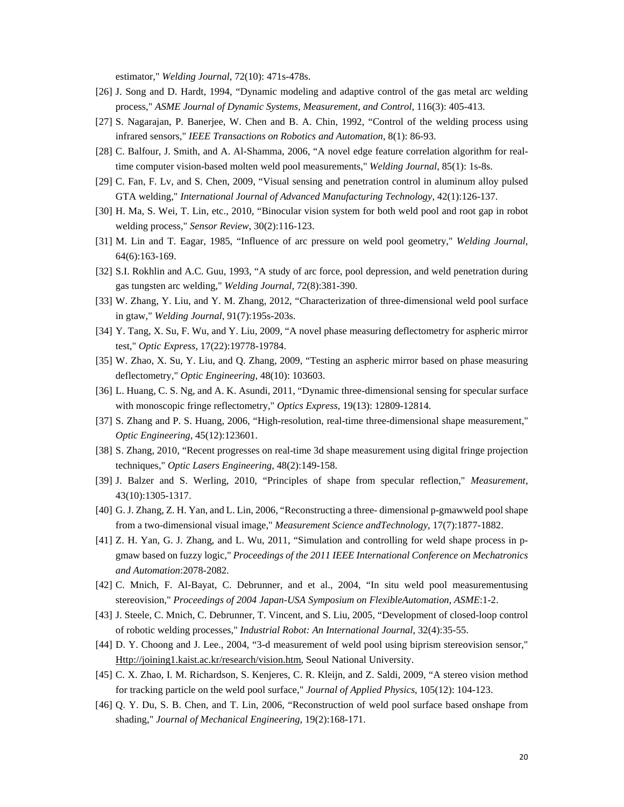estimator," *Welding Journal*, 72(10): 471s-478s.

- [26] J. Song and D. Hardt, 1994, "Dynamic modeling and adaptive control of the gas metal arc welding process," *ASME Journal of Dynamic Systems, Measurement, and Control*, 116(3): 405-413.
- [27] S. Nagarajan, P. Banerjee, W. Chen and B. A. Chin, 1992, "Control of the welding process using infrared sensors," *IEEE Transactions on Robotics and Automation*, 8(1): 86-93.
- [28] C. Balfour, J. Smith, and A. Al-Shamma, 2006, "A novel edge feature correlation algorithm for realtime computer vision-based molten weld pool measurements," *Welding Journal*, 85(1): 1s-8s.
- [29] C. Fan, F. Lv, and S. Chen, 2009, "Visual sensing and penetration control in aluminum alloy pulsed GTA welding," *International Journal of Advanced Manufacturing Technology*, 42(1):126-137.
- [30] H. Ma, S. Wei, T. Lin, etc., 2010, "Binocular vision system for both weld pool and root gap in robot welding process," *Sensor Review*, 30(2):116-123.
- [31] M. Lin and T. Eagar, 1985, "Influence of arc pressure on weld pool geometry," *Welding Journal*, 64(6):163-169.
- [32] S.I. Rokhlin and A.C. Guu, 1993, "A study of arc force, pool depression, and weld penetration during gas tungsten arc welding," *Welding Journal*, 72(8):381-390.
- [33] W. Zhang, Y. Liu, and Y. M. Zhang, 2012, "Characterization of three-dimensional weld pool surface in gtaw," *Welding Journal*, 91(7):195s-203s.
- [34] Y. Tang, X. Su, F. Wu, and Y. Liu, 2009, "A novel phase measuring deflectometry for aspheric mirror test," *Optic Express*, 17(22):19778-19784.
- [35] W. Zhao, X. Su, Y. Liu, and Q. Zhang, 2009, "Testing an aspheric mirror based on phase measuring deflectometry," *Optic Engineering*, 48(10): 103603.
- [36] L. Huang, C. S. Ng, and A. K. Asundi, 2011, "Dynamic three-dimensional sensing for specular surface with monoscopic fringe reflectometry," *Optics Express*, 19(13): 12809-12814.
- [37] S. Zhang and P. S. Huang, 2006, "High-resolution, real-time three-dimensional shape measurement," *Optic Engineering*, 45(12):123601.
- [38] S. Zhang, 2010, "Recent progresses on real-time 3d shape measurement using digital fringe projection techniques," *Optic Lasers Engineering*, 48(2):149-158.
- [39] J. Balzer and S. Werling, 2010, "Principles of shape from specular reflection," *Measurement*, 43(10):1305-1317.
- [40] G. J. Zhang, Z. H. Yan, and L. Lin, 2006, "Reconstructing a three- dimensional p-gmawweld pool shape from a two-dimensional visual image," *Measurement Science andTechnology*, 17(7):1877-1882.
- [41] Z. H. Yan, G. J. Zhang, and L. Wu, 2011, "Simulation and controlling for weld shape process in pgmaw based on fuzzy logic," *Proceedings of the 2011 IEEE International Conference on Mechatronics and Automation*:2078-2082.
- [42] C. Mnich, F. Al-Bayat, C. Debrunner, and et al., 2004, "In situ weld pool measurementusing stereovision," *Proceedings of 2004 Japan-USA Symposium on FlexibleAutomation, ASME*:1-2.
- [43] J. Steele, C. Mnich, C. Debrunner, T. Vincent, and S. Liu, 2005, "Development of closed-loop control of robotic welding processes," *Industrial Robot: An International Journal*, 32(4):35-55.
- [44] D. Y. Choong and J. Lee., 2004, "3-d measurement of weld pool using biprism stereovision sensor," Http://joining1.kaist.ac.kr/research/vision.htm, Seoul National University.
- [45] C. X. Zhao, I. M. Richardson, S. Kenjeres, C. R. Kleijn, and Z. Saldi, 2009, "A stereo vision method for tracking particle on the weld pool surface," *Journal of Applied Physics*, 105(12): 104-123.
- [46] Q. Y. Du, S. B. Chen, and T. Lin, 2006, "Reconstruction of weld pool surface based onshape from shading," *Journal of Mechanical Engineering*, 19(2):168-171.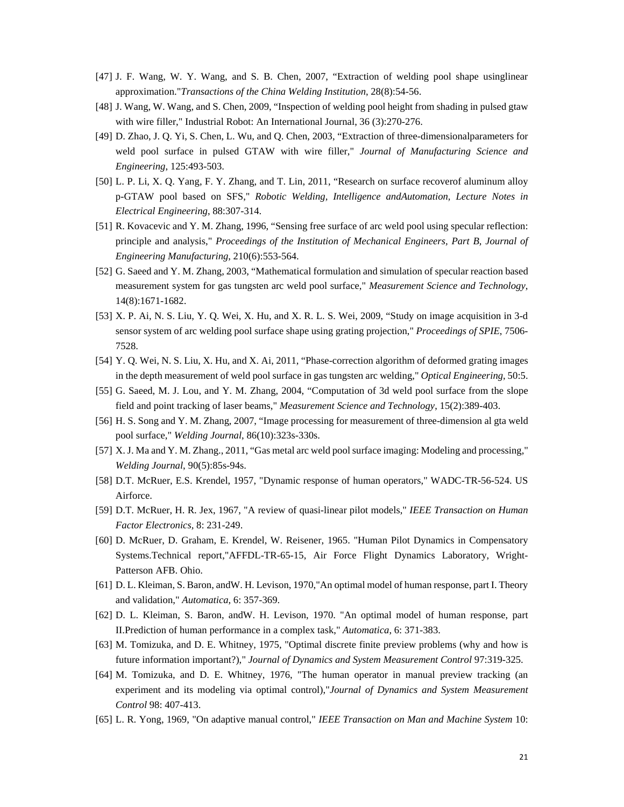- [47] J. F. Wang, W. Y. Wang, and S. B. Chen, 2007, "Extraction of welding pool shape usinglinear approximation."*Transactions of the China Welding Institution*, 28(8):54-56.
- [48] J. Wang, W. Wang, and S. Chen, 2009, "Inspection of welding pool height from shading in pulsed gtaw with wire filler," Industrial Robot: An International Journal, 36 (3):270-276.
- [49] D. Zhao, J. Q. Yi, S. Chen, L. Wu, and Q. Chen, 2003, "Extraction of three-dimensionalparameters for weld pool surface in pulsed GTAW with wire filler," *Journal of Manufacturing Science and Engineering*, 125:493-503.
- [50] L. P. Li, X. Q. Yang, F. Y. Zhang, and T. Lin, 2011, "Research on surface recoverof aluminum alloy p-GTAW pool based on SFS," *Robotic Welding, Intelligence andAutomation, Lecture Notes in Electrical Engineering*, 88:307-314.
- [51] R. Kovacevic and Y. M. Zhang, 1996, "Sensing free surface of arc weld pool using specular reflection: principle and analysis," *Proceedings of the Institution of Mechanical Engineers, Part B, Journal of Engineering Manufacturing*, 210(6):553-564.
- [52] G. Saeed and Y. M. Zhang, 2003, "Mathematical formulation and simulation of specular reaction based measurement system for gas tungsten arc weld pool surface," *Measurement Science and Technology*, 14(8):1671-1682.
- [53] X. P. Ai, N. S. Liu, Y. Q. Wei, X. Hu, and X. R. L. S. Wei, 2009, "Study on image acquisition in 3-d sensor system of arc welding pool surface shape using grating projection," *Proceedings of SPIE*, 7506- 7528.
- [54] Y. Q. Wei, N. S. Liu, X. Hu, and X. Ai, 2011, "Phase-correction algorithm of deformed grating images in the depth measurement of weld pool surface in gas tungsten arc welding," *Optical Engineering*, 50:5.
- [55] G. Saeed, M. J. Lou, and Y. M. Zhang, 2004, "Computation of 3d weld pool surface from the slope field and point tracking of laser beams," *Measurement Science and Technology*, 15(2):389-403.
- [56] H. S. Song and Y. M. Zhang, 2007, "Image processing for measurement of three-dimension al gta weld pool surface," *Welding Journal*, 86(10):323s-330s.
- [57] X. J. Ma and Y. M. Zhang., 2011, "Gas metal arc weld pool surface imaging: Modeling and processing," *Welding Journal*, 90(5):85s-94s.
- [58] D.T. McRuer, E.S. Krendel, 1957, "Dynamic response of human operators," WADC-TR-56-524. US Airforce.
- [59] D.T. McRuer, H. R. Jex, 1967, "A review of quasi-linear pilot models," *IEEE Transaction on Human Factor Electronics,* 8: 231-249.
- [60] D. McRuer, D. Graham, E. Krendel, W. Reisener, 1965. "Human Pilot Dynamics in Compensatory Systems.Technical report,"AFFDL-TR-65-15, Air Force Flight Dynamics Laboratory, Wright-Patterson AFB. Ohio.
- [61] D. L. Kleiman, S. Baron, andW. H. Levison, 1970,"An optimal model of human response, part I. Theory and validation," *Automatica*, 6: 357-369.
- [62] D. L. Kleiman, S. Baron, andW. H. Levison, 1970. "An optimal model of human response, part II.Prediction of human performance in a complex task," *Automatica*, 6: 371-383.
- [63] M. Tomizuka, and D. E. Whitney, 1975, "Optimal discrete finite preview problems (why and how is future information important?)," *Journal of Dynamics and System Measurement Control* 97:319-325.
- [64] M. Tomizuka, and D. E. Whitney, 1976, "The human operator in manual preview tracking (an experiment and its modeling via optimal control),"*Journal of Dynamics and System Measurement Control* 98: 407-413.
- [65] L. R. Yong, 1969, "On adaptive manual control," *IEEE Transaction on Man and Machine System* 10: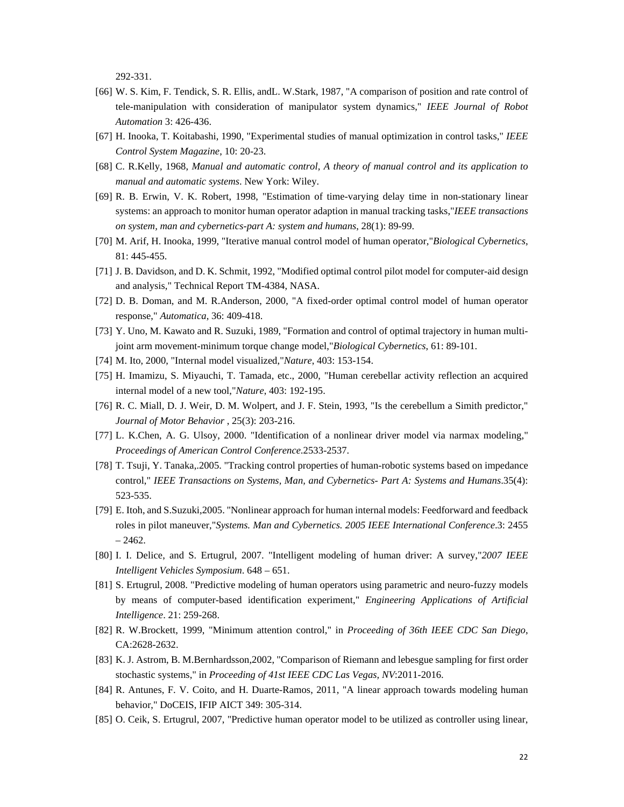292-331.

- [66] W. S. Kim, F. Tendick, S. R. Ellis, and L. W. Stark, 1987, "A comparison of position and rate control of tele-manipulation with consideration of manipulator system dynamics," *IEEE Journal of Robot Automation* 3: 426-436.
- [67] H. Inooka, T. Koitabashi, 1990, "Experimental studies of manual optimization in control tasks," *IEEE Control System Magazine*, 10: 20-23.
- [68] C. R.Kelly, 1968, *Manual and automatic control, A theory of manual control and its application to manual and automatic systems*. New York: Wiley.
- [69] R. B. Erwin, V. K. Robert, 1998, "Estimation of time-varying delay time in non-stationary linear systems: an approach to monitor human operator adaption in manual tracking tasks,"*IEEE transactions on system, man and cybernetics-part A: system and humans*, 28(1): 89-99.
- [70] M. Arif, H. Inooka, 1999, "Iterative manual control model of human operator,"*Biological Cybernetics*, 81: 445-455.
- [71] J. B. Davidson, and D. K. Schmit, 1992, "Modified optimal control pilot model for computer-aid design and analysis," Technical Report TM-4384, NASA.
- [72] D. B. Doman, and M. R.Anderson, 2000, "A fixed-order optimal control model of human operator response," *Automatica*, 36: 409-418.
- [73] Y. Uno, M. Kawato and R. Suzuki, 1989, "Formation and control of optimal trajectory in human multijoint arm movement-minimum torque change model,"*Biological Cybernetics*, 61: 89-101.
- [74] M. Ito, 2000, "Internal model visualized,"*Nature*, 403: 153-154.
- [75] H. Imamizu, S. Miyauchi, T. Tamada, etc., 2000, "Human cerebellar activity reflection an acquired internal model of a new tool,"*Nature*, 403: 192-195.
- [76] R. C. Miall, D. J. Weir, D. M. Wolpert, and J. F. Stein, 1993, "Is the cerebellum a Simith predictor," *Journal of Motor Behavior* , 25(3): 203-216.
- [77] L. K.Chen, A. G. Ulsoy, 2000. "Identification of a nonlinear driver model via narmax modeling," *Proceedings of American Control Conference.*2533-2537.
- [78] T. Tsuji, Y. Tanaka,.2005. "Tracking control properties of human-robotic systems based on impedance control," *IEEE Transactions on Systems, Man, and Cybernetics- Part A: Systems and Humans*.35(4): 523-535.
- [79] E. Itoh, and S.Suzuki,2005. "Nonlinear approach for human internal models: Feedforward and feedback roles in pilot maneuver,"*Systems. Man and Cybernetics. 2005 IEEE International Conference*.3: 2455  $-2462.$
- [80] I. I. Delice, and S. Ertugrul, 2007. "Intelligent modeling of human driver: A survey,"*2007 IEEE Intelligent Vehicles Symposium*. 648 – 651.
- [81] S. Ertugrul, 2008. "Predictive modeling of human operators using parametric and neuro-fuzzy models by means of computer-based identification experiment," *Engineering Applications of Artificial Intelligence*. 21: 259-268.
- [82] R. W.Brockett, 1999, "Minimum attention control," in *Proceeding of 36th IEEE CDC San Diego*, CA:2628-2632.
- [83] K. J. Astrom, B. M.Bernhardsson,2002, "Comparison of Riemann and lebesgue sampling for first order stochastic systems," in *Proceeding of 41st IEEE CDC Las Vegas, NV*:2011-2016.
- [84] R. Antunes, F. V. Coito, and H. Duarte-Ramos, 2011, "A linear approach towards modeling human behavior," DoCEIS, IFIP AICT 349: 305-314.
- [85] O. Ceik, S. Ertugrul, 2007, "Predictive human operator model to be utilized as controller using linear,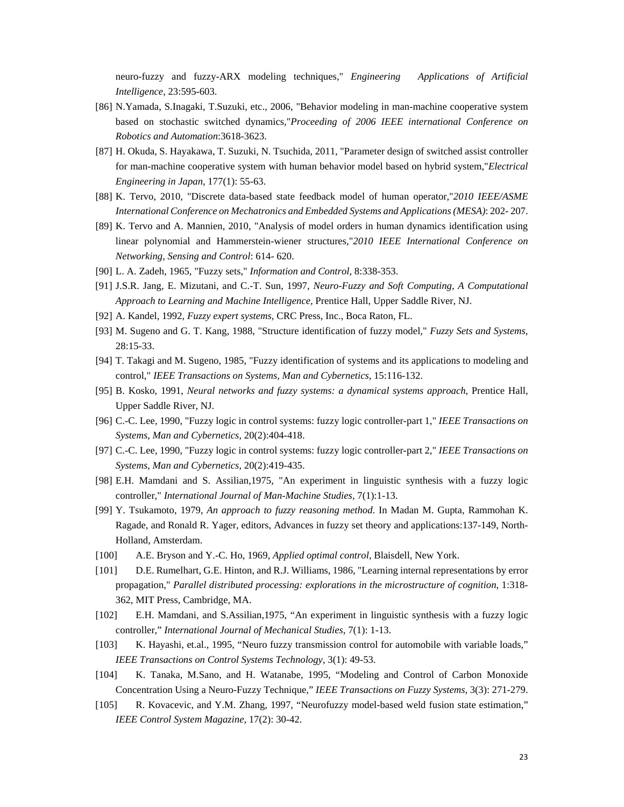neuro-fuzzy and fuzzy-ARX modeling techniques," *Engineering Applications of Artificial Intelligence*, 23:595-603.

- [86] N.Yamada, S.Inagaki, T.Suzuki, etc., 2006, "Behavior modeling in man-machine cooperative system based on stochastic switched dynamics,"*Proceeding of 2006 IEEE international Conference on Robotics and Automation*:3618-3623.
- [87] H. Okuda, S. Hayakawa, T. Suzuki, N. Tsuchida, 2011, "Parameter design of switched assist controller for man-machine cooperative system with human behavior model based on hybrid system,"*Electrical Engineering in Japan*, 177(1): 55-63.
- [88] K. Tervo, 2010, "Discrete data-based state feedback model of human operator,"*2010 IEEE/ASME International Conference on Mechatronics and Embedded Systems and Applications (MESA)*: 202- 207.
- [89] K. Tervo and A. Mannien, 2010, "Analysis of model orders in human dynamics identification using linear polynomial and Hammerstein-wiener structures,"*2010 IEEE International Conference on Networking, Sensing and Control*: 614- 620.
- [90] L. A. Zadeh, 1965, "Fuzzy sets," *Information and Control*, 8:338-353.
- [91] J.S.R. Jang, E. Mizutani, and C.-T. Sun, 1997, *Neuro-Fuzzy and Soft Computing, A Computational Approach to Learning and Machine Intelligence,* Prentice Hall, Upper Saddle River, NJ.
- [92] A. Kandel, 1992, *Fuzzy expert systems*, CRC Press, Inc., Boca Raton, FL.
- [93] M. Sugeno and G. T. Kang, 1988, "Structure identification of fuzzy model," *Fuzzy Sets and Systems*, 28:15-33.
- [94] T. Takagi and M. Sugeno, 1985, "Fuzzy identification of systems and its applications to modeling and control," *IEEE Transactions on Systems, Man and Cybernetics*, 15:116-132.
- [95] B. Kosko, 1991, *Neural networks and fuzzy systems: a dynamical systems approach*, Prentice Hall, Upper Saddle River, NJ.
- [96] C.-C. Lee, 1990, "Fuzzy logic in control systems: fuzzy logic controller-part 1," *IEEE Transactions on Systems, Man and Cybernetics*, 20(2):404-418.
- [97] C.-C. Lee, 1990, "Fuzzy logic in control systems: fuzzy logic controller-part 2," *IEEE Transactions on Systems, Man and Cybernetics*, 20(2):419-435.
- [98] E.H. Mamdani and S. Assilian,1975, "An experiment in linguistic synthesis with a fuzzy logic controller," *International Journal of Man-Machine Studies*, 7(1):1-13.
- [99] Y. Tsukamoto, 1979, *An approach to fuzzy reasoning method*. In Madan M. Gupta, Rammohan K. Ragade, and Ronald R. Yager, editors, Advances in fuzzy set theory and applications:137-149, North-Holland, Amsterdam.
- [100] A.E. Bryson and Y.-C. Ho, 1969, *Applied optimal control*, Blaisdell, New York.
- [101] D.E. Rumelhart, G.E. Hinton, and R.J. Williams, 1986, "Learning internal representations by error propagation," *Parallel distributed processing: explorations in the microstructure of cognition*, 1:318- 362, MIT Press, Cambridge, MA.
- [102] E.H. Mamdani, and S.Assilian,1975, "An experiment in linguistic synthesis with a fuzzy logic controller," *International Journal of Mechanical Studies*, 7(1): 1-13.
- [103] K. Hayashi, et.al., 1995, "Neuro fuzzy transmission control for automobile with variable loads," *IEEE Transactions on Control Systems Technology*, 3(1): 49-53.
- [104] K. Tanaka, M.Sano, and H. Watanabe, 1995, "Modeling and Control of Carbon Monoxide Concentration Using a Neuro-Fuzzy Technique," *IEEE Transactions on Fuzzy Systems*, 3(3): 271-279.
- [105] R. Kovacevic, and Y.M. Zhang, 1997, "Neurofuzzy model-based weld fusion state estimation," *IEEE Control System Magazine*, 17(2): 30-42.